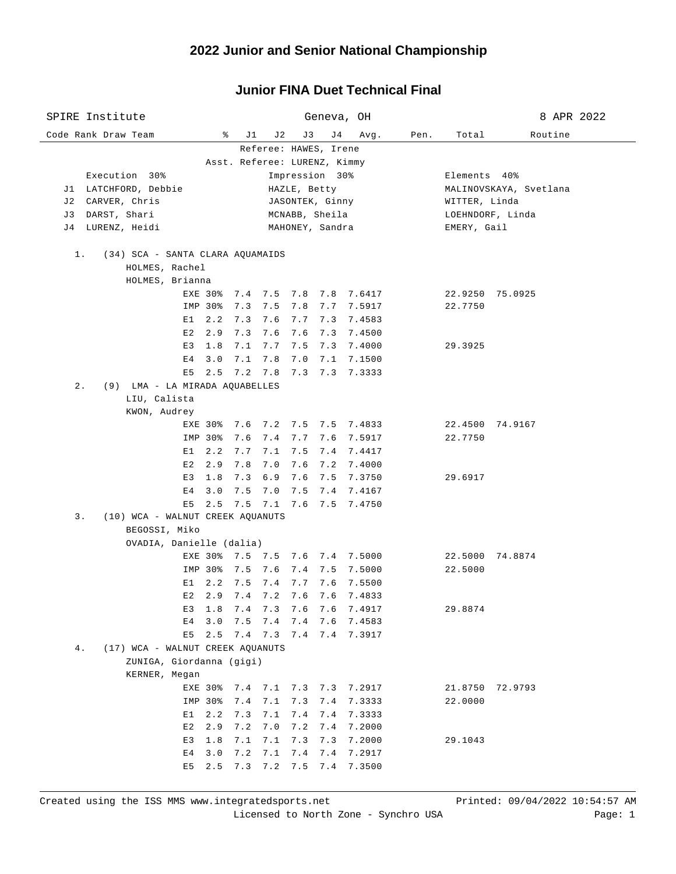| SPIRE Institute                                    |                         |                 |       |              |                       | Geneva, OH                     |      |                  | 8 APR 2022             |  |  |
|----------------------------------------------------|-------------------------|-----------------|-------|--------------|-----------------------|--------------------------------|------|------------------|------------------------|--|--|
| Code Rank Draw Team                                | ိ                       | J1              | J 2   | J3           | J 4                   | Avg.                           | Pen. | Total            | Routine                |  |  |
|                                                    |                         |                 |       |              | Referee: HAWES, Irene |                                |      |                  |                        |  |  |
| Asst. Referee: LURENZ, Kimmy                       |                         |                 |       |              |                       |                                |      |                  |                        |  |  |
| Execution 30%                                      |                         |                 |       |              | Impression 30%        |                                |      | Elements 40%     |                        |  |  |
| J1 LATCHFORD, Debbie                               |                         |                 |       | HAZLE, Betty |                       |                                |      |                  | MALINOVSKAYA, Svetlana |  |  |
| J2 CARVER, Chris                                   |                         |                 |       |              | JASONTEK, Ginny       |                                |      | WITTER, Linda    |                        |  |  |
| DARST, Shari<br>J 3                                |                         |                 |       |              | MCNABB, Sheila        |                                |      | LOEHNDORF, Linda |                        |  |  |
| LURENZ, Heidi<br>J 4                               |                         |                 |       |              | MAHONEY, Sandra       |                                |      | EMERY, Gail      |                        |  |  |
| $1$ .                                              |                         |                 |       |              |                       |                                |      |                  |                        |  |  |
| (34) SCA - SANTA CLARA AQUAMAIDS<br>HOLMES, Rachel |                         |                 |       |              |                       |                                |      |                  |                        |  |  |
| HOLMES, Brianna                                    |                         |                 |       |              |                       |                                |      |                  |                        |  |  |
|                                                    | EXE 30%                 |                 |       |              |                       | 7.4 7.5 7.8 7.8 7.6417         |      |                  | 22.9250 75.0925        |  |  |
|                                                    | IMP 30%                 | 7.3             |       |              |                       | 7.5 7.8 7.7 7.5917             |      | 22.7750          |                        |  |  |
|                                                    | $E1 \quad 2.2$          | 7.3             |       |              |                       | 7.6 7.7 7.3 7.4583             |      |                  |                        |  |  |
|                                                    | $E2 \quad 2.9$          | 7.3             |       | 7.6 7.6 7.3  |                       | 7.4500                         |      |                  |                        |  |  |
| E3                                                 | 1.8                     | 7.1 7.7 7.5 7.3 |       |              |                       | 7.4000                         |      | 29.3925          |                        |  |  |
| E <sub>4</sub>                                     | 3.0                     | 7.1 7.8 7.0 7.1 |       |              |                       | 7.1500                         |      |                  |                        |  |  |
| E5                                                 |                         |                 |       |              |                       | 2.5 7.2 7.8 7.3 7.3 7.3333     |      |                  |                        |  |  |
| $2$ .<br>(9) LMA - LA MIRADA AQUABELLES            |                         |                 |       |              |                       |                                |      |                  |                        |  |  |
| LIU, Calista                                       |                         |                 |       |              |                       |                                |      |                  |                        |  |  |
| KWON, Audrey                                       |                         |                 |       |              |                       |                                |      |                  |                        |  |  |
|                                                    | EXE 30% 7.6 7.2 7.5 7.5 |                 |       |              |                       | 7.4833                         |      |                  | 22.4500 74.9167        |  |  |
|                                                    | IMP 30%                 | 7.6             | 7.4   | 7.7 7.6      |                       | 7.5917                         |      | 22.7750          |                        |  |  |
| E 1                                                | 2.2                     | 7.7             | 7.1   |              | $7.5$ 7.4             | 7.4417                         |      |                  |                        |  |  |
| E2                                                 | 2.9                     | 7.8             | 7.0   |              | $7.6$ $7.2$           | 7.4000                         |      |                  |                        |  |  |
| E3                                                 | 1.8                     | 7.3             | $6.9$ |              | 7.6 7.5               | 7.3750                         |      | 29.6917          |                        |  |  |
| E <sub>4</sub>                                     | 3.0                     | 7.5             | 7.0   |              | $7.5$ 7.4             | 7.4167                         |      |                  |                        |  |  |
| E5<br>3.<br>(10) WCA - WALNUT CREEK AQUANUTS       | 2.5                     | 7.5 7.1 7.6 7.5 |       |              |                       | 7.4750                         |      |                  |                        |  |  |
| BEGOSSI, Miko                                      |                         |                 |       |              |                       |                                |      |                  |                        |  |  |
| OVADIA, Danielle (dalia)                           |                         |                 |       |              |                       |                                |      |                  |                        |  |  |
|                                                    |                         |                 |       |              |                       | EXE 30% 7.5 7.5 7.6 7.4 7.5000 |      |                  | 22.5000 74.8874        |  |  |
|                                                    | IMP 30%                 | 7.5             | 7.6   |              | 7.4 7.5               | 7.5000                         |      | 22.5000          |                        |  |  |
| E1                                                 | 2.2                     | 7.5             | 7.4   | $7.7$ 7.6    |                       | 7.5500                         |      |                  |                        |  |  |
| E2                                                 | 2.9                     | $7.4$ $7.2$     |       | 7.6 7.6      |                       | 7.4833                         |      |                  |                        |  |  |
| E3                                                 | 1.8                     | 7.4             | 7.3   | 7.6          | 7.6                   | 7.4917                         |      | 29.8874          |                        |  |  |
| E4                                                 | 3.0                     | 7.5             | 7.4   | 7.4          | 7.6                   | 7.4583                         |      |                  |                        |  |  |
| E5                                                 | 2.5                     | 7.4 7.3 7.4 7.4 |       |              |                       | 7.3917                         |      |                  |                        |  |  |
| (17) WCA - WALNUT CREEK AQUANUTS<br>4.             |                         |                 |       |              |                       |                                |      |                  |                        |  |  |
| ZUNIGA, Giordanna (gigi)                           |                         |                 |       |              |                       |                                |      |                  |                        |  |  |
| KERNER, Megan                                      |                         |                 |       |              |                       |                                |      |                  |                        |  |  |
|                                                    | EXE 30%                 | 7.4 7.1 7.3 7.3 |       |              |                       | 7.2917                         |      | 21.8750          | 72.9793                |  |  |
|                                                    | IMP 30%                 | 7.4             | 7.1   | 7.3          | 7.4                   | 7.3333                         |      | 22.0000          |                        |  |  |
| E1                                                 | 2.2                     | 7.3             | 7.1   | 7.4          | 7.4                   | 7.3333                         |      |                  |                        |  |  |
| E2                                                 | 2.9                     | 7.2             | 7.0   | 7.2          | 7.4                   | 7.2000                         |      |                  |                        |  |  |
| E3                                                 | 1.8                     | 7.1             | 7.1   | 7.3          | 7.3                   | 7.2000                         |      | 29.1043          |                        |  |  |
| E4                                                 | 3.0                     | 7.2             | 7.1   | 7.4          | 7.4                   | 7.2917                         |      |                  |                        |  |  |
| E5                                                 | 2.5                     | 7.3             | 7.2   | 7.5          | 7.4                   | 7.3500                         |      |                  |                        |  |  |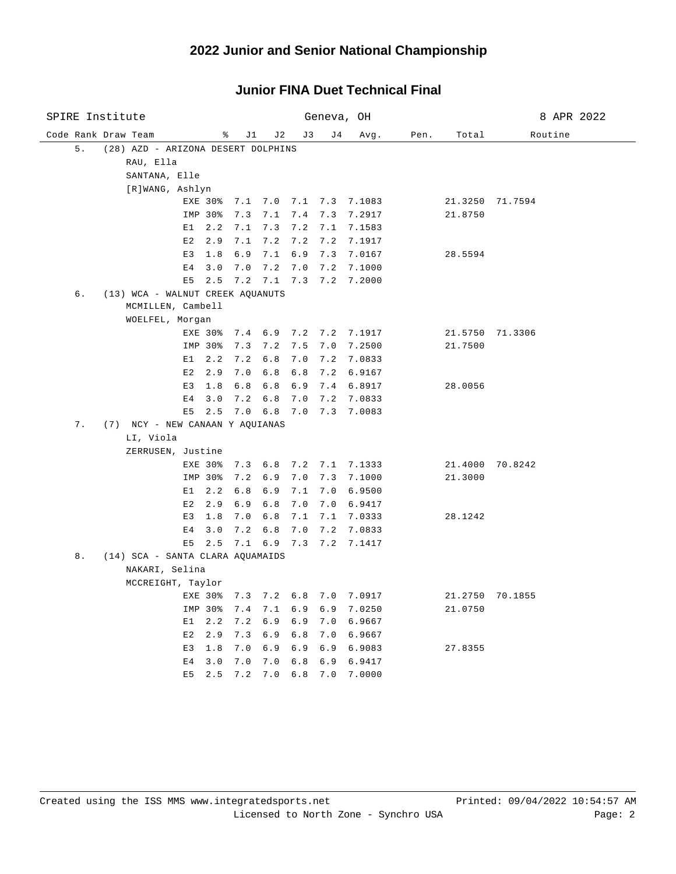| SPIRE Institute |    |  |                                    |                |                    |            | Geneva, OH              | 8 APR 2022  |                    |                                |      |         |                 |
|-----------------|----|--|------------------------------------|----------------|--------------------|------------|-------------------------|-------------|--------------------|--------------------------------|------|---------|-----------------|
|                 |    |  | Code Rank Draw Team                |                | နွ                 | J1         | J 2                     | J3          | J 4                | Avg.                           | Pen. | Total   | Routine         |
|                 | 5. |  | (28) AZD - ARIZONA DESERT DOLPHINS |                |                    |            |                         |             |                    |                                |      |         |                 |
|                 |    |  | RAU, Ella                          |                |                    |            |                         |             |                    |                                |      |         |                 |
|                 |    |  | SANTANA, Elle                      |                |                    |            |                         |             |                    |                                |      |         |                 |
|                 |    |  | [R]WANG, Ashlyn                    |                |                    |            |                         |             |                    |                                |      |         |                 |
|                 |    |  |                                    |                |                    |            |                         |             |                    | EXE 30% 7.1 7.0 7.1 7.3 7.1083 |      |         | 21.3250 71.7594 |
|                 |    |  |                                    |                | IMP 30%            | 7.3        | 7.1                     | 7.4         | 7.3                | 7.2917                         |      | 21.8750 |                 |
|                 |    |  |                                    | E1             | 2.2                | 7.1        | 7.3                     | $7.2$ $7.1$ |                    | 7.1583                         |      |         |                 |
|                 |    |  |                                    | E2             | 2.9                | 7.1        | 7.2                     |             |                    | 7.2 7.2 7.1917                 |      |         |                 |
|                 |    |  |                                    | E3             | 1.8                | 6.9        | 7.1                     |             |                    | 6.9 7.3 7.0167                 |      | 28.5594 |                 |
|                 |    |  |                                    | E <sub>4</sub> | 3.0                | 7.0        |                         | 7.2 7.0     | 7.2                | 7.1000                         |      |         |                 |
|                 |    |  |                                    | E <sub>5</sub> | 2.5                |            | $7.2$ $7.1$ $7.3$ $7.2$ |             |                    | 7.2000                         |      |         |                 |
|                 | б. |  | (13) WCA - WALNUT CREEK AQUANUTS   |                |                    |            |                         |             |                    |                                |      |         |                 |
|                 |    |  | MCMILLEN, Cambell                  |                |                    |            |                         |             |                    |                                |      |         |                 |
|                 |    |  | WOELFEL, Morgan                    |                |                    |            |                         |             |                    |                                |      |         |                 |
|                 |    |  |                                    |                |                    |            |                         |             |                    | EXE 30% 7.4 6.9 7.2 7.2 7.1917 |      |         | 21.5750 71.3306 |
|                 |    |  |                                    |                | IMP 30%            | 7.3        | 7.2                     | 7.5         | 7.0                | 7.2500                         |      | 21.7500 |                 |
|                 |    |  |                                    | E1             | 2.2                | 7.2        | 6.8                     | 7.0         | 7.2                | 7.0833                         |      |         |                 |
|                 |    |  |                                    | E2             | 2.9                | 7.0        | 6.8                     | $6.8$ 7.2   |                    | 6.9167                         |      |         |                 |
|                 |    |  |                                    | E3             | 1.8                | 6.8        | 6.8                     |             |                    | 6.9 7.4 6.8917                 |      | 28.0056 |                 |
|                 |    |  |                                    | E <sub>4</sub> | 3.0                | 7.2        | 6.8                     | 7.0         | 7.2                | 7.0833                         |      |         |                 |
|                 |    |  |                                    | E5             | 2.5                |            | 7.0 6.8 7.0 7.3         |             |                    | 7.0083                         |      |         |                 |
|                 | 7. |  | (7) NCY - NEW CANAAN Y AQUIANAS    |                |                    |            |                         |             |                    |                                |      |         |                 |
|                 |    |  | LI, Viola                          |                |                    |            |                         |             |                    |                                |      |         |                 |
|                 |    |  | ZERRUSEN, Justine                  |                |                    |            |                         |             |                    |                                |      |         |                 |
|                 |    |  |                                    |                | EXE 30%            |            |                         |             |                    | 7.3 6.8 7.2 7.1 7.1333         |      |         | 21.4000 70.8242 |
|                 |    |  |                                    |                | IMP 30%            | 7.2        | 6.9                     | $7.0$ $7.3$ |                    | 7.1000                         |      | 21.3000 |                 |
|                 |    |  |                                    | E1             | 2.2                | 6.8        |                         |             |                    | 6.9 7.1 7.0 6.9500             |      |         |                 |
|                 |    |  |                                    | E2<br>E3       | 2.9<br>1.8         | 6.9<br>7.0 | 6.8<br>6.8              | 7.0         | 7.0<br>$7.1$ $7.1$ | 6.9417                         |      | 28.1242 |                 |
|                 |    |  |                                    | E4             | 3.0                | 7.2        | 6.8                     | 7.0         |                    | 7.0333<br>7.2 7.0833           |      |         |                 |
|                 |    |  |                                    | E5             | 2.5                |            |                         |             |                    | 7.1 6.9 7.3 7.2 7.1417         |      |         |                 |
|                 | 8. |  | (14) SCA - SANTA CLARA AQUAMAIDS   |                |                    |            |                         |             |                    |                                |      |         |                 |
|                 |    |  | NAKARI, Selina                     |                |                    |            |                         |             |                    |                                |      |         |                 |
|                 |    |  | MCCREIGHT, Taylor                  |                |                    |            |                         |             |                    |                                |      |         |                 |
|                 |    |  |                                    |                |                    |            |                         |             |                    | 7.3 7.2 6.8 7.0 7.0917         |      |         |                 |
|                 |    |  |                                    |                | EXE 30%<br>IMP 30% | 7.4        | 7.1                     | 6.9         | 6.9                |                                |      | 21.0750 | 21.2750 70.1855 |
|                 |    |  |                                    | E1             | 2.2                | 7.2        | 6.9                     | 6.9         | 7.0                | 7.0250<br>6.9667               |      |         |                 |
|                 |    |  |                                    | E2             | 2.9                | 7.3        |                         |             |                    | 6.9 6.8 7.0 6.9667             |      |         |                 |
|                 |    |  |                                    | E <sub>3</sub> | 1.8                | 7.0        | 6.9                     | 6.9         |                    | 6.9 6.9083                     |      | 27.8355 |                 |
|                 |    |  |                                    | E <sub>4</sub> | 3.0                | 7.0        | 7.0                     | 6.8         | 6.9                | 6.9417                         |      |         |                 |
|                 |    |  |                                    | E <sub>5</sub> | 2.5                | 7.2        | 7.0                     | 6.8         | 7.0                | 7.0000                         |      |         |                 |
|                 |    |  |                                    |                |                    |            |                         |             |                    |                                |      |         |                 |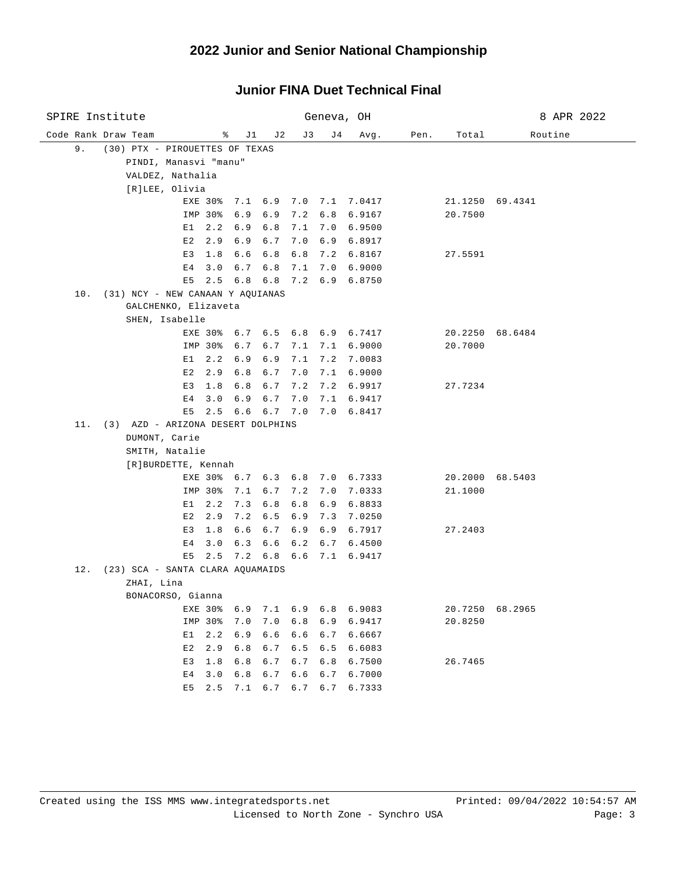#### Code Rank Draw Team % J1 J2 J3 J4 Avg. Pen. Total Routine SPIRE Institute Geneva, OH 8 APR 2022 9. (30) PTX - PIROUETTES OF TEXAS PINDI, Manasvi "manu" VALDEZ, Nathalia [R]LEE, Olivia EXE 30% 7.1 6.9 7.0 7.1 7.0417 21.1250 69.4341 IMP 30% 6.9 6.9 7.2 6.8 6.9167 20.7500 E1 2.2 6.9 6.8 7.1 7.0 6.9500 E2 2.9 6.9 6.7 7.0 6.9 6.8917 E3 1.8 6.6 6.8 6.8 7.2 6.8167 27.5591 E4 3.0 6.7 6.8 7.1 7.0 6.9000 E5 2.5 6.8 6.8 7.2 6.9 6.8750 10. (31) NCY - NEW CANAAN Y AQUIANAS GALCHENKO, Elizaveta SHEN, Isabelle EXE 30% 6.7 6.5 6.8 6.9 6.7417 20.2250 68.6484 IMP 30% 6.7 6.7 7.1 7.1 6.9000 20.7000 E1 2.2 6.9 6.9 7.1 7.2 7.0083 E2 2.9 6.8 6.7 7.0 7.1 6.9000 E3 1.8 6.8 6.7 7.2 7.2 6.9917 27.7234 E4 3.0 6.9 6.7 7.0 7.1 6.9417 E5 2.5 6.6 6.7 7.0 7.0 6.8417 11. (3) AZD - ARIZONA DESERT DOLPHINS DUMONT, Carie SMITH, Natalie [R]BURDETTE, Kennah EXE 30% 6.7 6.3 6.8 7.0 6.7333 20.2000 68.5403 IMP 30% 7.1 6.7 7.2 7.0 7.0333 21.1000 E1 2.2 7.3 6.8 6.8 6.9 6.8833 E2 2.9 7.2 6.5 6.9 7.3 7.0250 E3 1.8 6.6 6.7 6.9 6.9 6.7917 27.2403 E4 3.0 6.3 6.6 6.2 6.7 6.4500 E5 2.5 7.2 6.8 6.6 7.1 6.9417 12. (23) SCA - SANTA CLARA AQUAMAIDS ZHAI, Lina BONACORSO, Gianna EXE 30% 6.9 7.1 6.9 6.8 6.9083 20.7250 68.2965 IMP 30% 7.0 7.0 6.8 6.9 6.9417 20.8250 E1 2.2 6.9 6.6 6.6 6.7 6.6667 E2 2.9 6.8 6.7 6.5 6.5 6.6083 E3 1.8 6.8 6.7 6.7 6.8 6.7500 26.7465 E4 3.0 6.8 6.7 6.6 6.7 6.7000 E5 2.5 7.1 6.7 6.7 6.7 6.7333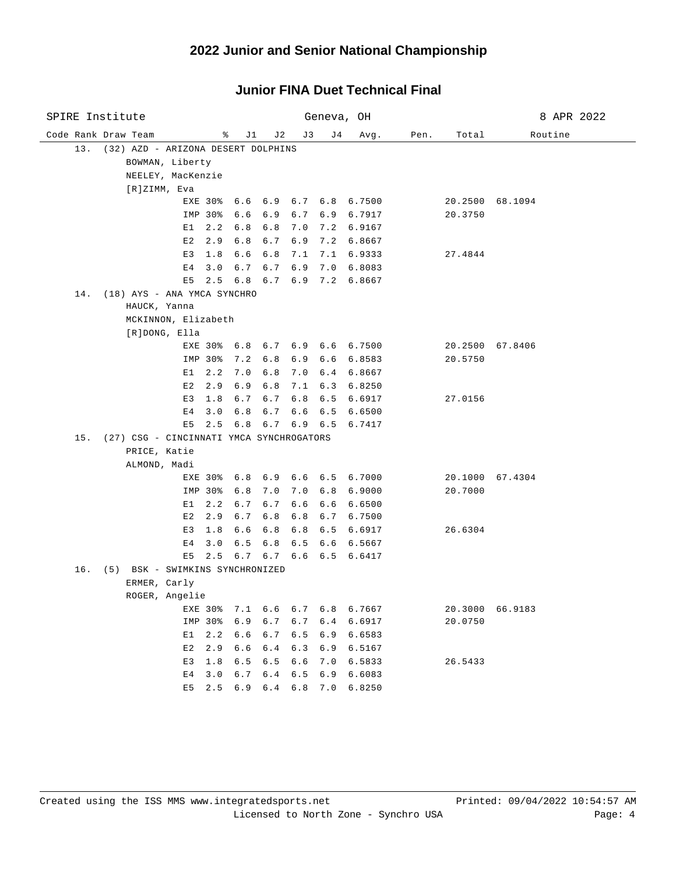| SPIRE Institute |     |  |                     |                                          |         |             | Geneva, OH |         |     | 8 APR 2022                     |      |         |                 |
|-----------------|-----|--|---------------------|------------------------------------------|---------|-------------|------------|---------|-----|--------------------------------|------|---------|-----------------|
|                 |     |  | Code Rank Draw Team |                                          |         | ိ<br>J1     | J 2        | J3      | J 4 | Avg.                           | Pen. | Total   | Routine         |
|                 | 13. |  |                     | (32) AZD - ARIZONA DESERT DOLPHINS       |         |             |            |         |     |                                |      |         |                 |
|                 |     |  |                     | BOWMAN, Liberty                          |         |             |            |         |     |                                |      |         |                 |
|                 |     |  |                     | NEELEY, MacKenzie                        |         |             |            |         |     |                                |      |         |                 |
|                 |     |  | [R]ZIMM, Eva        |                                          |         |             |            |         |     |                                |      |         |                 |
|                 |     |  |                     |                                          |         |             |            |         |     | EXE 30% 6.6 6.9 6.7 6.8 6.7500 |      |         | 20.2500 68.1094 |
|                 |     |  |                     |                                          | IMP 30% | 6.6         | 6.9        |         |     | 6.7 6.9 6.7917                 |      | 20.3750 |                 |
|                 |     |  |                     | E1                                       | 2.2     | 6.8         | 6.8        | 7.0     | 7.2 | 6.9167                         |      |         |                 |
|                 |     |  |                     | E2                                       | 2.9     | $6.8$       | 6.7        | 6.9     | 7.2 | 6.8667                         |      |         |                 |
|                 |     |  |                     | E3                                       | 1.8     | 6.6         | 6.8        | 7.1     | 7.1 | 6.9333                         |      | 27.4844 |                 |
|                 |     |  |                     | E4                                       | 3.0     | 6.7         | 6.7        | 6.9     | 7.0 | 6.8083                         |      |         |                 |
|                 |     |  |                     | E5                                       |         | $2.5 \t6.8$ |            |         |     | $6.7$ $6.9$ $7.2$ $6.8667$     |      |         |                 |
|                 | 14. |  |                     | (18) AYS - ANA YMCA SYNCHRO              |         |             |            |         |     |                                |      |         |                 |
|                 |     |  | HAUCK, Yanna        |                                          |         |             |            |         |     |                                |      |         |                 |
|                 |     |  |                     | MCKINNON, Elizabeth                      |         |             |            |         |     |                                |      |         |                 |
|                 |     |  |                     | [R]DONG, Ella                            |         |             |            |         |     |                                |      |         |                 |
|                 |     |  |                     |                                          |         |             |            |         |     | EXE 30% 6.8 6.7 6.9 6.6 6.7500 |      |         | 20.2500 67.8406 |
|                 |     |  |                     |                                          | IMP 30% | 7.2         | 6.8        | 6.9     | 6.6 | 6.8583                         |      | 20.5750 |                 |
|                 |     |  |                     | E 1                                      | 2.2     | 7.0         | 6.8        | 7.0     | 6.4 | 6.8667                         |      |         |                 |
|                 |     |  |                     | E2                                       | 2.9     | 6.9         | 6.8        | 7.1     | 6.3 | 6.8250                         |      |         |                 |
|                 |     |  |                     | E3                                       | 1.8     | 6.7         | 6.7        | 6.8     | 6.5 | 6.6917                         |      | 27.0156 |                 |
|                 |     |  |                     | E4                                       | 3.0     | 6.8         | 6.7        | 6.6     | 6.5 | 6.6500                         |      |         |                 |
|                 |     |  |                     | E5                                       | 2.5     | 6.8         |            | 6.7 6.9 | 6.5 | 6.7417                         |      |         |                 |
|                 | 15. |  |                     | (27) CSG - CINCINNATI YMCA SYNCHROGATORS |         |             |            |         |     |                                |      |         |                 |
|                 |     |  | PRICE, Katie        |                                          |         |             |            |         |     |                                |      |         |                 |
|                 |     |  | ALMOND, Madi        |                                          |         |             |            |         |     |                                |      |         |                 |
|                 |     |  |                     |                                          |         |             |            |         |     | EXE 30% 6.8 6.9 6.6 6.5 6.7000 |      |         | 20.1000 67.4304 |
|                 |     |  |                     |                                          | IMP 30% | 6.8         | 7.0        | 7.0     | 6.8 | 6.9000                         |      | 20.7000 |                 |
|                 |     |  |                     | Е1                                       | 2.2     | 6.7         | $6.7$      | 6.6     | 6.6 | 6.6500                         |      |         |                 |
|                 |     |  |                     | E2                                       | 2.9     | 6.7         | 6.8        | 6.8     | 6.7 | 6.7500                         |      |         |                 |
|                 |     |  |                     | E3                                       | 1.8     | 6.6         | 6.8        | 6.8     | 6.5 | 6.6917                         |      | 26.6304 |                 |
|                 |     |  |                     | Е4                                       | 3.0     | 6.5         | 6.8        | 6.5     | 6.6 | 6.5667                         |      |         |                 |
|                 |     |  |                     | E5                                       | 2.5     | 6.7         |            | 6.76.6  | 6.5 | 6.6417                         |      |         |                 |
|                 | 16. |  |                     | (5) BSK - SWIMKINS SYNCHRONIZED          |         |             |            |         |     |                                |      |         |                 |
|                 |     |  | ERMER, Carly        |                                          |         |             |            |         |     |                                |      |         |                 |
|                 |     |  |                     | ROGER, Angelie                           |         |             |            |         |     |                                |      |         |                 |
|                 |     |  |                     |                                          | EXE 30% | 7.1         | 6.6        | $6.7$   | 6.8 | 6.7667                         |      | 20.3000 | 66.9183         |
|                 |     |  |                     |                                          | IMP 30% | 6.9         | 6.7        | 6.7     | 6.4 | 6.6917                         |      | 20.0750 |                 |
|                 |     |  |                     | E1                                       | 2.2     | 6.6         | 6.7        | 6.5     | 6.9 | 6.6583                         |      |         |                 |
|                 |     |  |                     | E2                                       | 2.9     | 6.6         | 6.4        | 6.3     | 6.9 | 6.5167                         |      |         |                 |
|                 |     |  |                     | E3                                       | 1.8     | 6.5         | 6.5        | 6.6     | 7.0 | 6.5833                         |      | 26.5433 |                 |
|                 |     |  |                     | E4                                       | 3.0     | 6.7         | 6.4        | $6.5$   | 6.9 | 6.6083                         |      |         |                 |
|                 |     |  |                     | E5                                       | 2.5     | 6.9         | 6.4        | 6.8     | 7.0 | 6.8250                         |      |         |                 |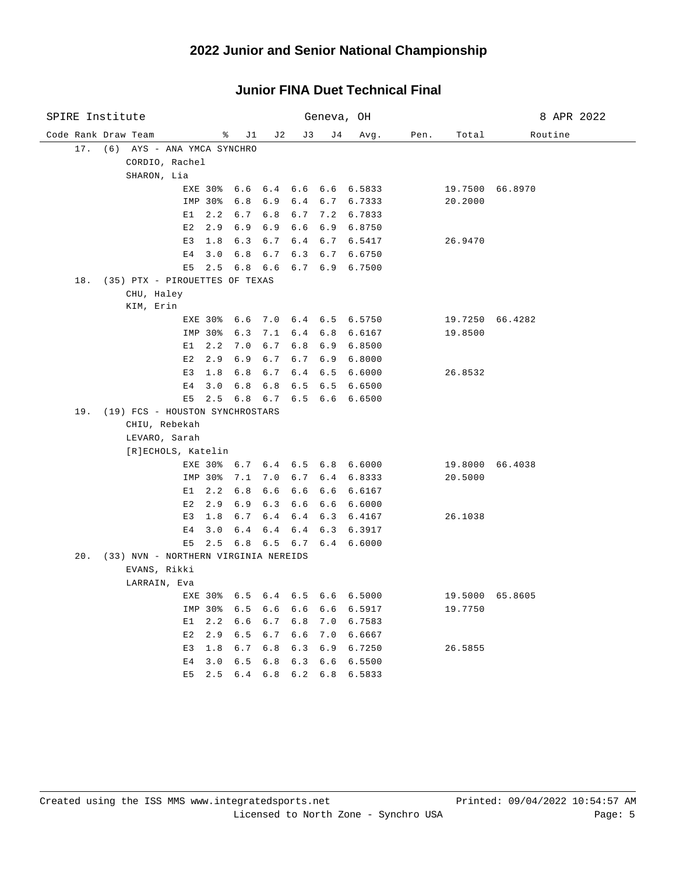#### Code Rank Draw Team % J1 J2 J3 J4 Avg. Pen. Total Routine SPIRE Institute Geneva, OH 8 APR 2022 17. (6) AYS - ANA YMCA SYNCHRO CORDIO, Rachel SHARON, Lia EXE 30% 6.6 6.4 6.6 6.6 6.5833 19.7500 66.8970 IMP 30% 6.8 6.9 6.4 6.7 6.7333 20.2000 E1 2.2 6.7 6.8 6.7 7.2 6.7833 E2 2.9 6.9 6.9 6.6 6.9 6.8750 E3 1.8 6.3 6.7 6.4 6.7 6.5417 26.9470 E4 3.0 6.8 6.7 6.3 6.7 6.6750 E5 2.5 6.8 6.6 6.7 6.9 6.7500 18. (35) PTX - PIROUETTES OF TEXAS CHU, Haley KIM, Erin EXE 30% 6.6 7.0 6.4 6.5 6.5750 19.7250 66.4282 IMP 30% 6.3 7.1 6.4 6.8 6.6167 19.8500 E1 2.2 7.0 6.7 6.8 6.9 6.8500 E2 2.9 6.9 6.7 6.7 6.9 6.8000 E3 1.8 6.8 6.7 6.4 6.5 6.6000 26.8532 E4 3.0 6.8 6.8 6.5 6.5 6.6500 E5 2.5 6.8 6.7 6.5 6.6 6.6500 19. (19) FCS - HOUSTON SYNCHROSTARS CHIU, Rebekah LEVARO, Sarah [R]ECHOLS, Katelin EXE 30% 6.7 6.4 6.5 6.8 6.6000 19.8000 66.4038 IMP 30% 7.1 7.0 6.7 6.4 6.8333 20.5000 E1 2.2 6.8 6.6 6.6 6.6 6.6167 E2 2.9 6.9 6.3 6.6 6.6 6.6000 E3 1.8 6.7 6.4 6.4 6.3 6.4167 26.1038 E4 3.0 6.4 6.4 6.4 6.3 6.3917 E5 2.5 6.8 6.5 6.7 6.4 6.6000 20. (33) NVN - NORTHERN VIRGINIA NEREIDS EVANS, Rikki LARRAIN, Eva EXE 30% 6.5 6.4 6.5 6.6 6.5000 19.5000 65.8605 IMP 30% 6.5 6.6 6.6 6.6 6.5917 19.7750 E1 2.2 6.6 6.7 6.8 7.0 6.7583 E2 2.9 6.5 6.7 6.6 7.0 6.6667 E3 1.8 6.7 6.8 6.3 6.9 6.7250 26.5855 E4 3.0 6.5 6.8 6.3 6.6 6.5500 E5 2.5 6.4 6.8 6.2 6.8 6.5833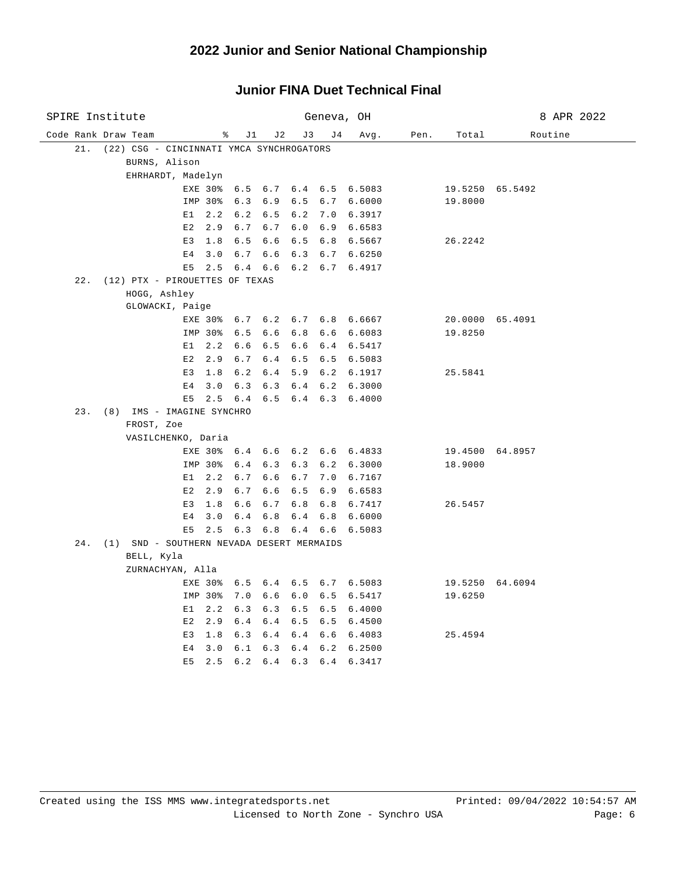| SPIRE Institute                                  |                                |            | Geneva, OH                 | 8 APR 2022 |      |                 |         |
|--------------------------------------------------|--------------------------------|------------|----------------------------|------------|------|-----------------|---------|
| Code Rank Draw Team                              | ွေ<br>J1                       | J2         | J3<br>J 4                  | Avg.       | Pen. | Total           | Routine |
| (22) CSG - CINCINNATI YMCA SYNCHROGATORS<br>21.  |                                |            |                            |            |      |                 |         |
| BURNS, Alison                                    |                                |            |                            |            |      |                 |         |
| EHRHARDT, Madelyn                                |                                |            |                            |            |      |                 |         |
|                                                  | EXE 30% 6.5                    |            | 6.7 6.4 6.5 6.5083         |            |      | 19.5250 65.5492 |         |
|                                                  | IMP 30%<br>6.3                 | 6.9        | $6.5$ $6.7$ $6.6000$       |            |      | 19.8000         |         |
|                                                  | $E1 \quad 2.2$<br>6.2          | 6.5        | 6.2 7.0 6.3917             |            |      |                 |         |
|                                                  | $E2 \quad 2.9$<br>6.7          | 6.7        | $6.0$ $6.9$ $6.6583$       |            |      |                 |         |
|                                                  | E3 1.8<br>6.5                  | 6.6        | 6.5 6.8 6.5667             |            |      | 26.2242         |         |
| E <sub>4</sub>                                   | 3.0<br>6.7                     | 6.6        | $6.3$ $6.7$ $6.6250$       |            |      |                 |         |
| E5                                               | 2.5                            | 6.4 6.6    | $6.2$ $6.7$ $6.4917$       |            |      |                 |         |
| (12) PTX - PIROUETTES OF TEXAS<br>22.            |                                |            |                            |            |      |                 |         |
| HOGG, Ashley                                     |                                |            |                            |            |      |                 |         |
| GLOWACKI, Paige                                  |                                |            |                            |            |      |                 |         |
|                                                  | EXE 30% 6.7 6.2 6.7 6.8 6.6667 |            |                            |            |      | 20.0000 65.4091 |         |
|                                                  | IMP 30%<br>6.5                 | 6.6        | $6.8$ $6.6$ $6.6083$       |            |      | 19.8250         |         |
| E1                                               | 2.2<br>6.6                     | 6.5        | 6.6 6.4 6.5417             |            |      |                 |         |
| E2                                               | 6.7<br>2.9                     | 6.4        | $6.5$ $6.5$ $6.5083$       |            |      |                 |         |
| E3                                               | 1.8<br>6.2                     | 6.4        | 5.9 6.2 6.1917             |            |      | 25.5841         |         |
| E <sub>4</sub>                                   | 3.0<br>6.3                     | 6.3        | $6.4$ $6.2$ $6.3000$       |            |      |                 |         |
| E5                                               | 6.4<br>2.5                     |            | $6.5$ $6.4$ $6.3$ $6.4000$ |            |      |                 |         |
| 23. (8) IMS - IMAGINE SYNCHRO                    |                                |            |                            |            |      |                 |         |
| FROST, Zoe                                       |                                |            |                            |            |      |                 |         |
| VASILCHENKO, Daria                               |                                |            |                            |            |      |                 |         |
|                                                  | EXE 30% 6.4 6.6 6.2 6.6 6.4833 |            |                            |            |      | 19.4500 64.8957 |         |
|                                                  | IMP 30%<br>6.4                 | 6.3        | 6.3 6.2 6.3000             |            |      | 18.9000         |         |
| E1                                               | 2.2<br>6.7                     | 6.6        | 6.7 7.0 6.7167             |            |      |                 |         |
| E2                                               | 2.9<br>6.7                     | 6.6        | $6.5$ $6.9$ $6.6583$       |            |      |                 |         |
| E3<br>E <sub>4</sub>                             | 1.8<br>6.6<br>3.0<br>6.4       | 6.7<br>6.8 | 6.8 6.8 6.7417<br>6.4 6.8  | 6.6000     |      | 26.5457         |         |
| E5                                               | 2.5                            | 6.3 6.8    | 6.4 6.6                    |            |      |                 |         |
| (1) SND - SOUTHERN NEVADA DESERT MERMAIDS<br>24. |                                |            |                            | 6.5083     |      |                 |         |
| BELL, Kyla                                       |                                |            |                            |            |      |                 |         |
| ZURNACHYAN, Alla                                 |                                |            |                            |            |      |                 |         |
|                                                  | EXE 30% 6.5 6.4 6.5 6.7 6.5083 |            |                            |            |      | 19.5250 64.6094 |         |
|                                                  | IMP 30%<br>7.0                 | 6.6        | $6.0$ $6.5$ $6.5417$       |            |      | 19.6250         |         |
| E1                                               | 2.2<br>6.3                     | 6.3        | $6.5$ $6.5$ $6.4000$       |            |      |                 |         |
| E2                                               | 2.9<br>6.4                     | 6.4        | $6.5$ $6.5$ $6.4500$       |            |      |                 |         |
|                                                  | E3 1.8<br>6.3                  | 6.4        | 6.4 6.6 6.4083             |            |      | 25.4594         |         |
| E4                                               | 3.0<br>6.1                     | 6.3        | $6.4$ $6.2$ $6.2500$       |            |      |                 |         |
| E5                                               | 6.2<br>2.5                     | 6.4        | 6.3 6.4 6.3417             |            |      |                 |         |
|                                                  |                                |            |                            |            |      |                 |         |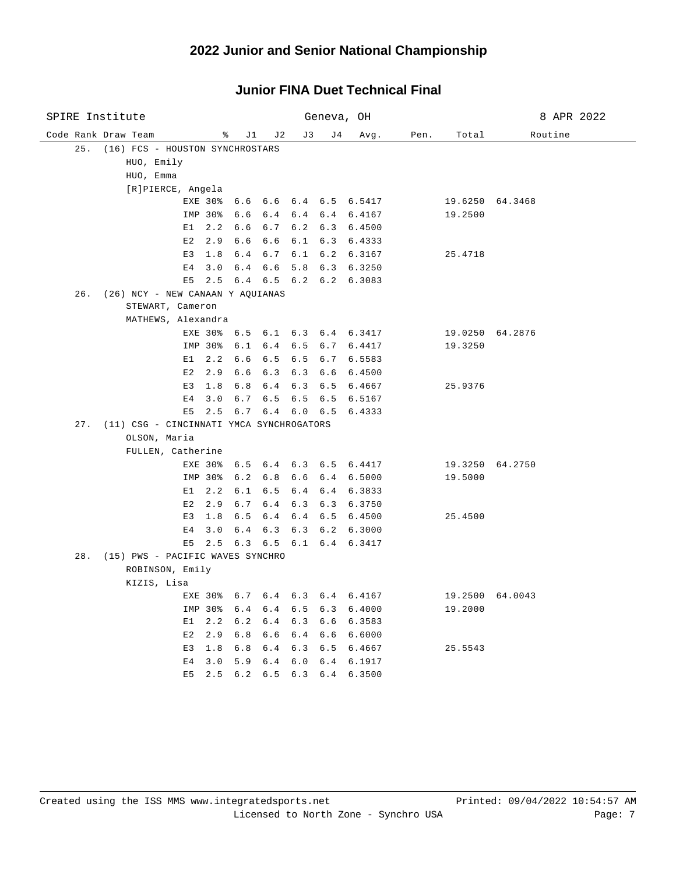#### Code Rank Draw Team % J1 J2 J3 J4 Avg. Pen. Total Routine SPIRE Institute Geneva, OH 8 APR 2022 25. (16) FCS - HOUSTON SYNCHROSTARS HUO, Emily HUO, Emma [R]PIERCE, Angela EXE 30% 6.6 6.6 6.4 6.5 6.5417 19.6250 64.3468 IMP 30% 6.6 6.4 6.4 6.4 6.4167 19.2500 E1 2.2 6.6 6.7 6.2 6.3 6.4500 E2 2.9 6.6 6.6 6.1 6.3 6.4333 E3 1.8 6.4 6.7 6.1 6.2 6.3167 25.4718 E4 3.0 6.4 6.6 5.8 6.3 6.3250 E5 2.5 6.4 6.5 6.2 6.2 6.3083 26. (26) NCY - NEW CANAAN Y AQUIANAS STEWART, Cameron MATHEWS, Alexandra EXE 30% 6.5 6.1 6.3 6.4 6.3417 19.0250 64.2876 IMP 30% 6.1 6.4 6.5 6.7 6.4417 19.3250 E1 2.2 6.6 6.5 6.5 6.7 6.5583 E2 2.9 6.6 6.3 6.3 6.6 6.4500 E3 1.8 6.8 6.4 6.3 6.5 6.4667 25.9376 E4 3.0 6.7 6.5 6.5 6.5 6.5167 E5 2.5 6.7 6.4 6.0 6.5 6.4333 27. (11) CSG - CINCINNATI YMCA SYNCHROGATORS OLSON, Maria FULLEN, Catherine EXE 30% 6.5 6.4 6.3 6.5 6.4417 19.3250 64.2750 IMP 30% 6.2 6.8 6.6 6.4 6.5000 19.5000 E1 2.2 6.1 6.5 6.4 6.4 6.3833 E2 2.9 6.7 6.4 6.3 6.3 6.3750 E3 1.8 6.5 6.4 6.4 6.5 6.4500 25.4500 E4 3.0 6.4 6.3 6.3 6.2 6.3000 E5 2.5 6.3 6.5 6.1 6.4 6.3417 28. (15) PWS - PACIFIC WAVES SYNCHRO ROBINSON, Emily KIZIS, Lisa EXE 30% 6.7 6.4 6.3 6.4 6.4167 19.2500 64.0043 IMP 30% 6.4 6.4 6.5 6.3 6.4000 19.2000 E1 2.2 6.2 6.4 6.3 6.6 6.3583 E2 2.9 6.8 6.6 6.4 6.6 6.6000 E3 1.8 6.8 6.4 6.3 6.5 6.4667 25.5543 E4 3.0 5.9 6.4 6.0 6.4 6.1917 E5 2.5 6.2 6.5 6.3 6.4 6.3500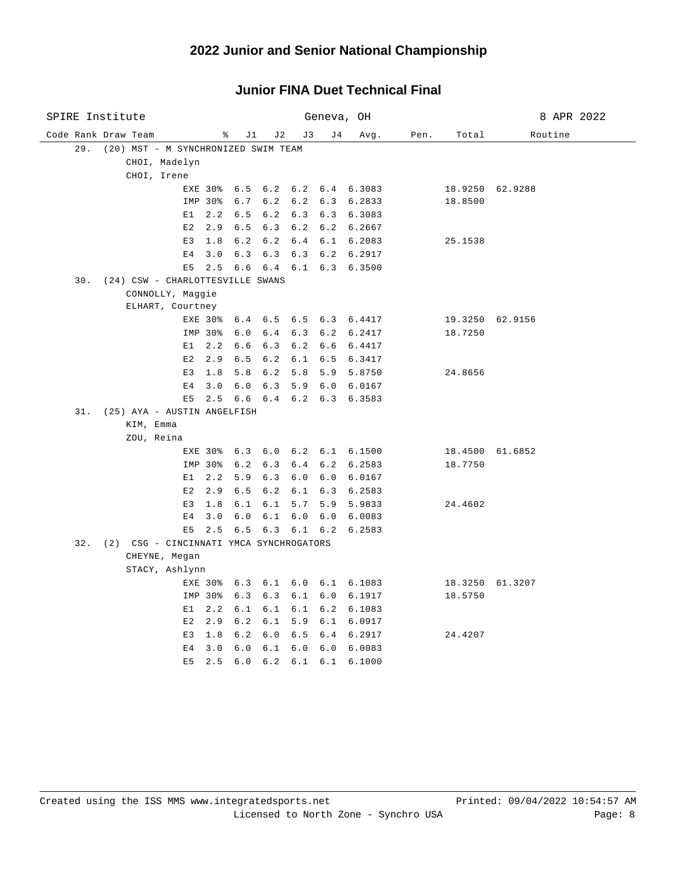| SPIRE Institute                                |                                |                        | Geneva, OH                   | 8 APR 2022     |      |                 |         |
|------------------------------------------------|--------------------------------|------------------------|------------------------------|----------------|------|-----------------|---------|
| Code Rank Draw Team                            | ိ                              | J2<br>J1               | J 3<br>J 4                   | Avg.           | Pen. | Total           | Routine |
| 29.<br>(20) MST - M SYNCHRONIZED SWIM TEAM     |                                |                        |                              |                |      |                 |         |
| CHOI, Madelyn                                  |                                |                        |                              |                |      |                 |         |
| CHOI, Irene                                    |                                |                        |                              |                |      |                 |         |
|                                                | EXE 30%                        | 6.5 6.2 6.2 6.4 6.3083 |                              |                |      | 18.9250 62.9288 |         |
|                                                | 6.7<br>IMP 30%                 | 6.2                    | $6.2$ $6.3$ $6.2833$         |                |      | 18.8500         |         |
| E1                                             | 2.2<br>6.5                     | 6.2                    | $6.3$ $6.3$ $6.3083$         |                |      |                 |         |
| E2                                             | 2.9<br>6.5                     | 6.3                    | $6.2$ $6.2$ $6.2667$         |                |      |                 |         |
| E3                                             | 1.8<br>6.2                     | 6.2                    | 6.4 6.1 6.2083               |                |      | 25.1538         |         |
| E <sub>4</sub>                                 | 6.3<br>3.0                     | 6.3                    | 6.3                          | 6.2 6.2917     |      |                 |         |
| E5                                             | 2.5<br>6.6                     | 6.4                    | 6.1                          | $6.3$ $6.3500$ |      |                 |         |
| 30. (24) CSW - CHARLOTTESVILLE SWANS           |                                |                        |                              |                |      |                 |         |
| CONNOLLY, Maggie                               |                                |                        |                              |                |      |                 |         |
| ELHART, Courtney                               |                                |                        |                              |                |      |                 |         |
|                                                | EXE 30%<br>6.4                 | 6.5                    | $6.5$ $6.3$ $6.4417$         |                |      | 19.3250 62.9156 |         |
|                                                | 6.0<br>IMP 30%                 | 6.4                    | 6.3 6.2 6.2417               |                |      | 18.7250         |         |
| E1                                             | 2.2<br>6.6                     | 6.3                    | 6.2                          | 6.6 6.4417     |      |                 |         |
| E2                                             | 2.9<br>6.5                     | 6.2                    | 6.1 6.5 6.3417               |                |      |                 |         |
| E3                                             | 1.8<br>5.8                     | 6.2                    | 5.8                          | 5.9 5.8750     |      | 24.8656         |         |
| E <sub>4</sub>                                 | 3.0<br>6.0                     | 6.3                    | 5.9 6.0 6.0167               |                |      |                 |         |
| E 5                                            | 2.5                            | 6.6 6.4 6.2 6.3 6.3583 |                              |                |      |                 |         |
| 31. (25) AYA - AUSTIN ANGELFISH                |                                |                        |                              |                |      |                 |         |
| KIM, Emma                                      |                                |                        |                              |                |      |                 |         |
| ZOU, Reina                                     |                                |                        |                              |                |      |                 |         |
|                                                | EXE 30% 6.3 6.0 6.2 6.1 6.1500 |                        |                              |                |      | 18.4500 61.6852 |         |
| IMP 30%                                        | 6.2                            | 6.3                    | 6.4 6.2 6.2583               |                |      | 18.7750         |         |
| E1                                             | 2.2<br>5.9                     | 6.3                    | 6.0                          | 6.0 6.0167     |      |                 |         |
| E2                                             | 2.9<br>6.5                     | 6.2                    | 6.1                          | 6.3 6.2583     |      |                 |         |
| E3                                             | 1.8                            | $6.1 \quad 6.1$        | 5.7<br>5.9                   | 5.9833         |      | 24.4602         |         |
| E <sub>4</sub>                                 | 3.0<br>6.0                     | 6.1                    | 6.0<br>6.0                   | 6.0083         |      |                 |         |
| E <sub>5</sub>                                 | 2.5                            | $6.5 \t6.3$            | $6.1$ $6.2$ $6.2583$         |                |      |                 |         |
| (2) CSG - CINCINNATI YMCA SYNCHROGATORS<br>32. |                                |                        |                              |                |      |                 |         |
| CHEYNE, Megan                                  |                                |                        |                              |                |      |                 |         |
| STACY, Ashlynn                                 |                                |                        |                              |                |      |                 |         |
|                                                | EXE 30%                        | $6.3 \t6.1$            | $6.0 \quad 6.1 \quad 6.1083$ |                |      | 18.3250 61.3207 |         |
| IMP 30%                                        | 6.3                            | 6.3                    | 6.1 6.0 6.1917               |                |      | 18.5750         |         |
| E1                                             | 2.2<br>6.1                     | 6.1                    | 6.1                          | 6.2 6.1083     |      |                 |         |
| E2                                             | 2.9<br>6.2                     | 6.1                    | 5.9 6.1 6.0917               |                |      |                 |         |
| E3                                             | 1.8<br>6.2                     | 6.0                    | 6.5                          | 6.4 6.2917     |      | 24.4207         |         |
| E <sub>4</sub>                                 | 3.0<br>6.0                     | 6.1                    | $6.0$ $6.0$ $6.0083$         |                |      |                 |         |
| E <sub>5</sub>                                 | 2.5<br>6.0                     | 6.2                    | 6.1                          | 6.1 6.1000     |      |                 |         |